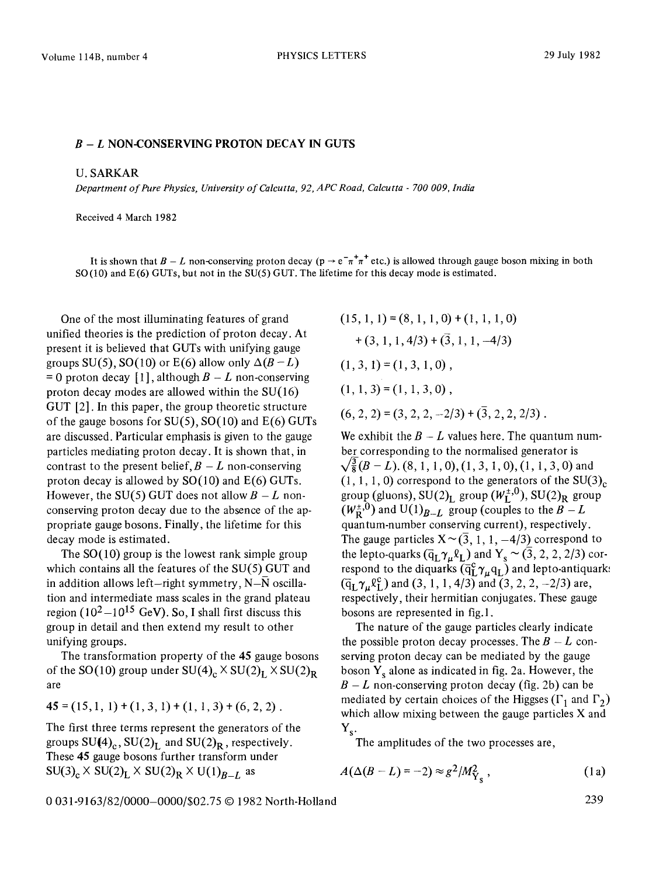## **B - L NON-CONSERVING PROTON DECAY IN GUTS**

## U. SARKAR

*Department of Pure Physics, University of Calcutta, 92, APC Road, Calcutta - 700 009, India* 

Received 4 March 1982

It is shown that  $B-L$  non-conserving proton decay ( $p \to e^-\pi^+\pi^+$  etc.) is allowed through gauge boson mixing in both SO(10) and E(6) GUTs, but not in the SU(5) GUT. The lifetime for this decay mode is estimated.

One of the most illuminating features of grand unified theories is the prediction of proton decay. At present it is believed that GUTs with unifying gauge groups SU(5), SO(10) or E(6) allow only  $\Delta(B-L)$  $= 0$  proton decay [1], although  $B - L$  non-conserving proton decay modes are allowed within the SU(16) GUT [2]. In this paper, the group theoretic structure of the gauge bosons for  $SU(5)$ ,  $SO(10)$  and  $E(6)$  GUTs are discussed. Particular emphasis is given to the gauge particles mediating proton decay. It is shown that, in contrast to the present belief,  $B - L$  non-conserving proton decay is allowed by  $SO(10)$  and  $E(6)$  GUTs. However, the SU(5) GUT does not allow  $B - L$  nonconserving proton decay due to the absence of the appropriate gauge bosons. Finally, the lifetime for this decay mode is estimated.

The  $SO(10)$  group is the lowest rank simple group which contains all the features of the SU(5) GUT and in addition allows left-right symmetry,  $N-\overline{N}$  oscillation and intermediate mass scales in the grand plateau region ( $10^2-10^{15}$  GeV). So, I shall first discuss this group in detail and then extend my result to other unifying groups.

The transformation property of the 45 gauge bosons of the SO(10) group under  $SU(4)_c \times SU(2)_L \times SU(2)_R$ are

$$
45 = (15,1,1) + (1,3,1) + (1,1,3) + (6,2,2).
$$

The first three terms represent the generators of the groups  $SU(4)_c$ ,  $SU(2)_L$  and  $SU(2)_R$ , respectively. These 45 gauge bosons further transform under  $SU(3)_c \times SU(2)_L \times SU(2)_R \times U(1)_{R-L}$  as

- $(15,1,1) = (8,1,1,0) + (1,1,1,0)$  $+(3, 1, 1, 4/3) + (\overline{3}, 1, 1, -4/3)$  $(1, 3, 1) = (1, 3, 1, 0),$  $(1, 1, 3) = (1, 1, 3, 0),$
- $(6, 2, 2) = (3, 2, 2, -2/3) + (\overline{3}, 2, 2, 2/3).$

We exhibit the  $B - L$  values here. The quantum number corresponding to the normalised generator is  $\sqrt{\frac{3}{8}}(B-L)$ ,  $(8, 1, 1, 0)$ ,  $(1, 3, 1, 0)$ ,  $(1, 1, 3, 0)$  and  $(1, 1, 1, 0)$  correspond to the generators of the SU(3)<sub>c</sub> group (gluons),  $SU(2)_L$  group  $(W_L^{\pm,0})$ ,  $SU(2)_R$  group  $(W_{\mathbf{R}}^{\pm,0})$  and  $\mathsf{U}(1)_{B-L}$  group (couples to the  $B-L$ quantum-number conserving current), respectively. The gauge particles  $X \sim (\overline{3}, 1, 1, -4/3)$  correspond to the lepto-quarks  $(\bar{q}_L \gamma_\mu \ell_L)$  and  $Y_s \sim (\bar{3}, 2, 2, 2/3)$  correspond to the diquarks  $(\bar{q}_L^c \gamma_\mu q_L)$  and lepto-antiquark:  $(\bar{q}_L \gamma_\mu \ell_L^c)$  and  $(3, 1, 1, 4/3)$  and  $(3, 2, 2, -2/3)$  are, respectively, their hermitian conjugates. These gauge bosons are represented in fig.1.

The nature of the gauge particles clearly indicate the possible proton decay processes. The  $B - L$  conserving proton decay can be mediated by the gauge boson  $Y<sub>s</sub>$  alone as indicated in fig. 2a. However, the  $B - L$  non-conserving proton decay (fig. 2b) can be mediated by certain choices of the Higgses ( $\Gamma_1$  and  $\Gamma_2$ ) which allow mixing between the gauge particles X and  $Y_{s}$ .

The amplitudes of the two processes are,

$$
A(\Delta(B-L)=-2)\approx g^2/M_{Y_s}^2\,,\tag{1a}
$$

0 031-9163/82/0000-0000/\$02.75 © 1982 North-Holland 239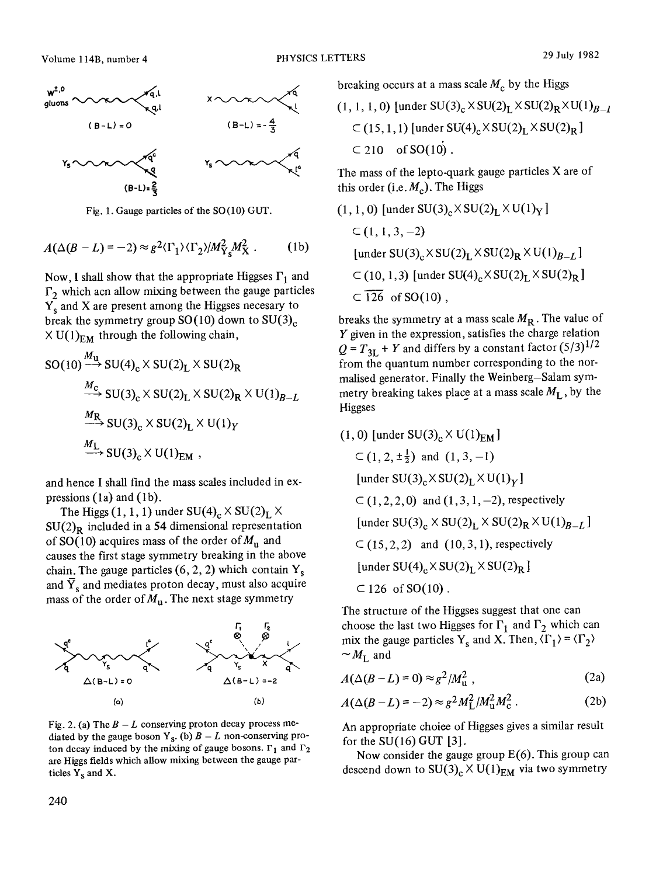

Fig. 1. Gauge particles of the SO(10) GUT.

$$
A(\Delta(B-L)=-2) \approx g^2 \langle \Gamma_1 \rangle \langle \Gamma_2 \rangle / M_{Y_s}^2 M_X^2 \ . \tag{1b}
$$

Now, I shall show that the appropriate Higgses  $\Gamma_1$  and  $\Gamma_2$  which acn allow mixing between the gauge particles  $\overline{Y_s}$  and X are present among the Higgses necesary to break the symmetry group  $SO(10)$  down to  $SU(3)<sub>c</sub>$  $X U(1)_{\text{EM}}$  through the following chain,

$$
SO(10) \xrightarrow{M_{\mathrm{u}}} SU(4)_{\mathrm{c}} \times SU(2)_{\mathrm{L}} \times SU(2)_{\mathrm{R}}
$$
  
\n
$$
\xrightarrow{M_{\mathrm{c}}} SU(3)_{\mathrm{c}} \times SU(2)_{\mathrm{L}} \times SU(2)_{\mathrm{R}} \times U(1)_{B-L}
$$
  
\n
$$
\xrightarrow{M_{\mathrm{R}}} SU(3)_{\mathrm{c}} \times SU(2)_{\mathrm{L}} \times U(1)_{Y}
$$
  
\n
$$
\xrightarrow{M_{\mathrm{L}}} SU(3)_{\mathrm{c}} \times U(1)_{\mathrm{EM}},
$$

and hence I shall find the mass scales included in expressions  $(1a)$  and  $(1b)$ .

The Higgs  $(1, 1, 1)$  under  $SU(4)_c \times SU(2)_L \times$  $SU(2)_R$  included in a 54 dimensional representation of SO(10) acquires mass of the order of  $M_u$  and causes the first stage symmetry breaking in the above chain. The gauge particles  $(6, 2, 2)$  which contain Y<sub>s</sub> and  $\overline{Y}_s$  and mediates proton decay, must also acquire mass of the order of  $M<sub>u</sub>$ . The next stage symmetry



Fig. 2. (a) The  $B - L$  conserving proton decay process mediated by the gauge boson Y<sub>s</sub>. (b)  $B - L$  non-conserving proton decay induced by the mixing of gauge bosons.  $\Gamma_1$  and  $\Gamma_2$ are Higgs fields which allow mixing between the gauge particles  $Y_s$  and X.

breaking occurs at a mass scale  $M_c$  by the Higgs

(1, 1, 1,0) [under SU(3)c X SU(2)L X SU(2)RXU(1)B\_ 1 C (15, 1,1) [under SU(4)c × SU(2)L X SU(2)R ] C210 of SO(10').

The mass of the lepto-quark gauge particles X are of this order (i.e.  $M_c$ ). The Higgs

 $(1,1,0)$  [under SU(3)<sub>c</sub> $\times$  SU(2)<sub>L</sub>  $\times$  U(1)<sub>Y</sub>]  $\subset$  (1, 1, 3, -2) [under  $SU(3)_c \times SU(2)_L \times SU(2)_R \times U(1)_{B-L}$ ]  $\subset (10, 1, 3)$  [under SU(4)<sub>c</sub> $\times$  SU(2)<sub>L</sub>  $\times$  SU(2)<sub>R</sub>]  $\subset$  126 of SO(10),

breaks the symmetry at a mass scale  $M_R$ . The value of Y given in the expression, satisfies the charge relation  $Q = T_{3L} + Y$  and differs by a constant factor  $(5/3)^{1/2}$ from the quantum number corresponding to the normalised generator. Finally the Weinberg-Salam symmetry breaking takes place at a mass scale  $M_{\rm L}$ , by the Higgses

(1, 0) [under SU(3)<sub>c</sub> × U(1)<sub>EM</sub>]  
\n
$$
\subset
$$
 (1, 2, ± $\frac{1}{2}$ ) and (1, 3, -1)  
\n[under SU(3)<sub>c</sub> × SU(2)<sub>L</sub> × U(1)<sub>Y</sub>]  
\n $\subset$  (1, 2, 2, 0) and (1, 3, 1, -2), respectively  
\n[under SU(3)<sub>c</sub> × SU(2)<sub>L</sub> × SU(2)<sub>R</sub> × U(1)<sub>B-L</sub>]  
\n $\subset$  (15, 2, 2) and (10, 3, 1), respectively  
\n[under SU(4)<sub>c</sub> × SU(2)<sub>L</sub> × SU(2)<sub>R</sub>]  
\n $\subset$  126 of SO(10).

The structure of the Higgses suggest that one can choose the last two Higgses for  $\Gamma_1$  and  $\Gamma_2$  which can mix the gauge particles Y<sub>s</sub> and X. Then,  $\langle \Gamma_1 \rangle = \langle \Gamma_2 \rangle$  $\sim M_{\rm L}$  and

$$
A(\Delta(B-L)=0) \approx g^2/M_u^2 \tag{2a}
$$

$$
A(\Delta(B-L) = -2) \approx g^2 M_L^2 / M_u^2 M_c^2 \,. \tag{2b}
$$

An appropriate choiee of Higgses gives a similar result for the  $SU(16)$  GUT [3].

Now consider the gauge group  $E(6)$ . This group can descend down to  $SU(3)_c \times U(1)_{EM}$  via two symmetry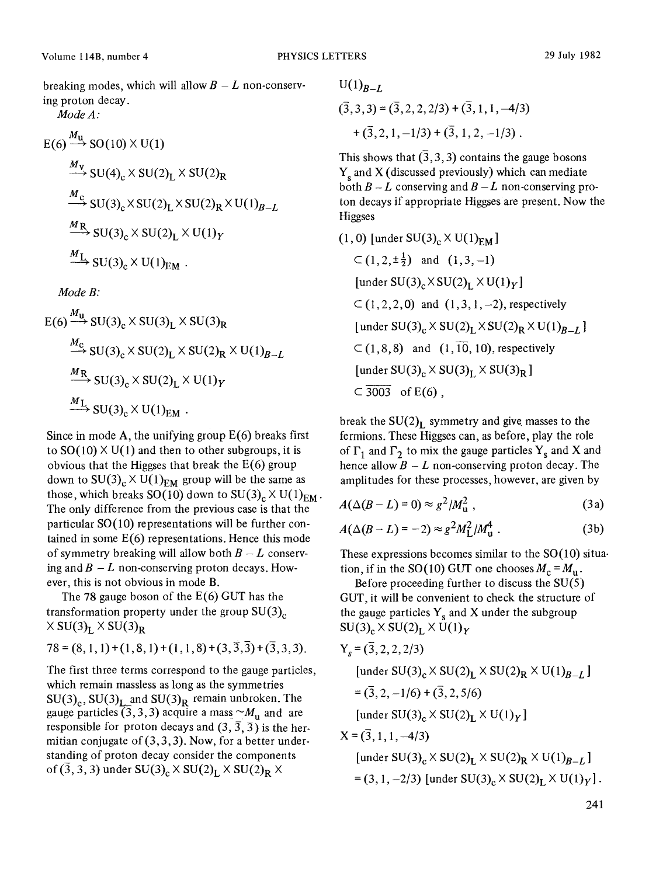*Mode A :* 

$$
E(6) \xrightarrow{M_{\text{u}}} SO(10) \times U(1)
$$
  
\n
$$
\xrightarrow{M_{\text{v}}} SU(4)_{c} \times SU(2)_{L} \times SU(2)_{R}
$$
  
\n
$$
\xrightarrow{M_{\text{c}}} SU(3)_{c} \times SU(2)_{L} \times SU(2)_{R} \times U(1)_{B-L}
$$
  
\n
$$
\xrightarrow{M_{\text{R}}} SU(3)_{c} \times SU(2)_{L} \times U(1)_{Y}
$$
  
\n
$$
\xrightarrow{M_{\text{L}}} SU(3)_{c} \times U(1)_{EM} .
$$

*Mode B:* 

$$
E(6) \xrightarrow{M_{\text{u}}} SU(3)_{\text{c}} \times SU(3)_{\text{L}} \times SU(3)_{\text{R}}
$$
  
\n
$$
\xrightarrow{M_{\text{c}}} SU(3)_{\text{c}} \times SU(2)_{\text{L}} \times SU(2)_{\text{R}} \times U(1)_{B-L}
$$
  
\n
$$
\xrightarrow{M_{\text{R}}} SU(3)_{\text{c}} \times SU(2)_{\text{L}} \times U(1)_{Y}
$$
  
\n
$$
\xrightarrow{M_{\text{L}}} SU(3)_{\text{c}} \times U(1)_{\text{EM}}
$$
.

Since in mode A, the unifying group  $E(6)$  breaks first to  $SO(10) \times U(1)$  and then to other subgroups, it is obvious that the Higgses that break the  $E(6)$  group down to  $SU(3)_c \times U(1)_{FM}$  group will be the same as those, which breaks  $SO(10)$  down to  $SU(3)_c \times U(1)_{FM}$ . The only difference from the previous case is that the particular  $SO(10)$  representations will be further contained in some  $E(6)$  representations. Hence this mode of symmetry breaking will allow both  $B - L$  conserving and  $B - L$  non-conserving proton decays. However, this is not obvious in mode B.

The 78 gauge boson of the  $E(6)$  GUT has the transformation property under the group  $SU(3)_c$  $\times$  SU(3)<sub>L</sub>  $\times$  SU(3)<sub>R</sub>

 $78 = (8, 1, 1) + (1, 8, 1) + (1, 1, 8) + (3, 3, 3) + (3, 3, 3).$ 

The first three terms correspond to the gauge particles, which remain massless as long as the symmetries  $SU(3)_c$ ,  $SU(3)_L$  and  $SU(3)_R$  remain unbroken. The gauge particles (3, 3, 3) acquire a mass  $\sim M_u$  and are responsible for proton decays and  $(3, \overline{3}, \overline{3})$  is the hermitian conjugate of  $(3,3,3)$ . Now, for a better understanding of proton decay consider the components of (3, 3, 3) under  $SU(3)_c \times SU(2)_L \times SU(2)_R \times$ 

 $U(1)_{R-L}$ 

 $(\overline{3},3,3) = (\overline{3},2,2,2/3) + (\overline{3},1,1,-4/3)$  $+(\overline{3},2,1,-1/3)+(\overline{3},1,2,-1/3)$ .

This shows that  $(\overline{3},3,3)$  contains the gauge bosons  $Y_s$  and X (discussed previously) which can mediate both  $B - L$  conserving and  $B - L$  non-conserving proton decays if appropriate Higgses are present. Now the Higgses

(1, 0) [under SU(3)<sub>c</sub> × U(1)<sub>EM</sub>]  
\nsubset (1, 2, ±
$$
\frac{1}{2}
$$
) and (1, 3, -1)  
\n[under SU(3)<sub>c</sub> × SU(2)<sub>L</sub> × U(1)<sub>Y</sub>]  
\nsubset (1, 2, 2, 0) and (1, 3, 1, -2), respectively  
\n[under SU(3)<sub>c</sub> × SU(2)<sub>L</sub> × SU(2)<sub>R</sub> × U(1)<sub>B-L</sub>]  
\nsubset (1, 8, 8) and (1, 10, 10), respectively  
\n[under SU(3)<sub>c</sub> × SU(3)<sub>L</sub> × SU(3)<sub>R</sub>]  
\nsubset  $\overline{3003}$  of E(6),

break the  $SU(2)_L$  symmetry and give masses to the fermions. These Higgses can, as before, play the role of  $\Gamma_1$  and  $\Gamma_2$  to mix the gauge particles Y<sub>s</sub> and X and hence allow  $B - L$  non-conserving proton decay. The amplitudes for these processes, however, are given by

$$
A(\Delta(B-L)=0) \approx g^2/M_{\rm u}^2 \tag{3a}
$$

$$
A(\Delta(B - L) = -2) \approx g^2 M_L^2 / M_u^4 \ . \tag{3b}
$$

These expressions becomes similar to the  $SO(10)$  situation, if in the SO(10) GUT one chooses  $M_c = M_u$ .

Before proceeding further to discuss the SU(5) GUT, it will be convenient to check the structure of the gauge particles  $Y_s$  and X under the subgroup  $SU(3)_c \times SU(2)_L \times U(1)_Y$ 

Ys = (5, 2, 2,213) [under SU(3)e X SU(2)L X SU(2)R X U(1)B\_ L ] = (5, 2,-1/6) + (5, 2, 5/6) [under SU(3)c X SU(2)L × U(1)y] X = (5, 1,1,-4/3) [under SU(3)c X SU(2)L X SU(2)R X U(1)B\_ L ] = (3, 1,--2/3) [under SU(3)c X SU(2)L X U(1)y].